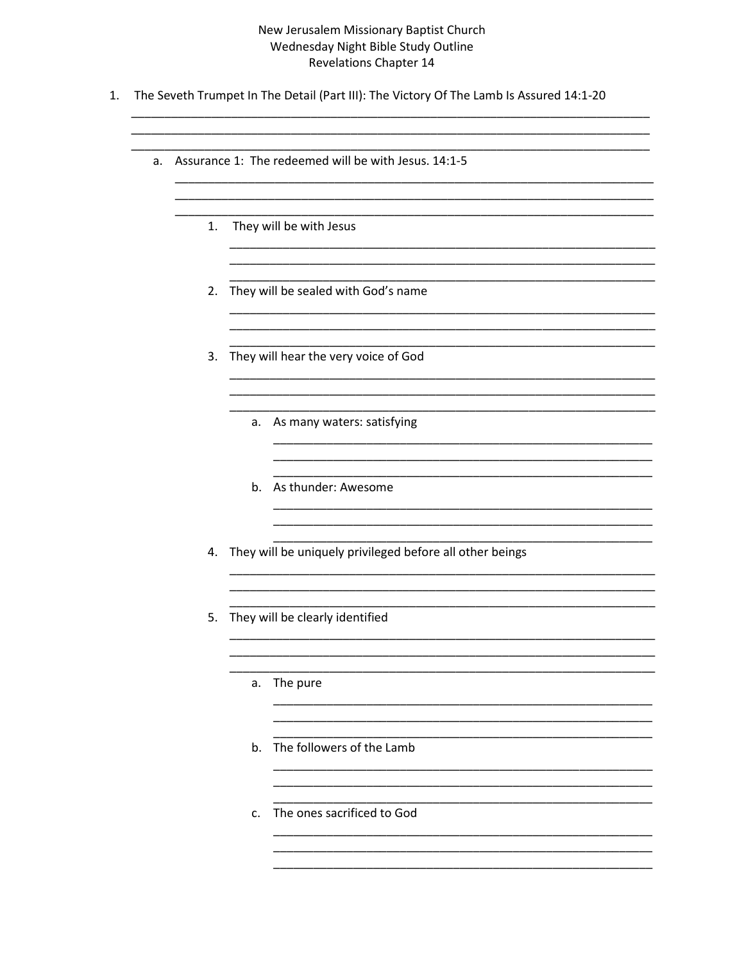## New Jerusalem Missionary Baptist Church Wednesday Night Bible Study Outline **Revelations Chapter 14**

1. The Seveth Trumpet In The Detail (Part III): The Victory Of The Lamb Is Assured 14:1-20

|  | a. Assurance 1: The redeemed will be with Jesus. 14:1-5 |  |
|--|---------------------------------------------------------|--|
|  |                                                         |  |

- 1. They will be with Jesus
- 2. They will be sealed with God's name
- 3. They will hear the very voice of God
	- a. As many waters: satisfying
	- b. As thunder: Awesome
- 4. They will be uniquely privileged before all other beings
- 5. They will be clearly identified
	- a. The pure
	- b. The followers of the Lamb
	- c. The ones sacrificed to God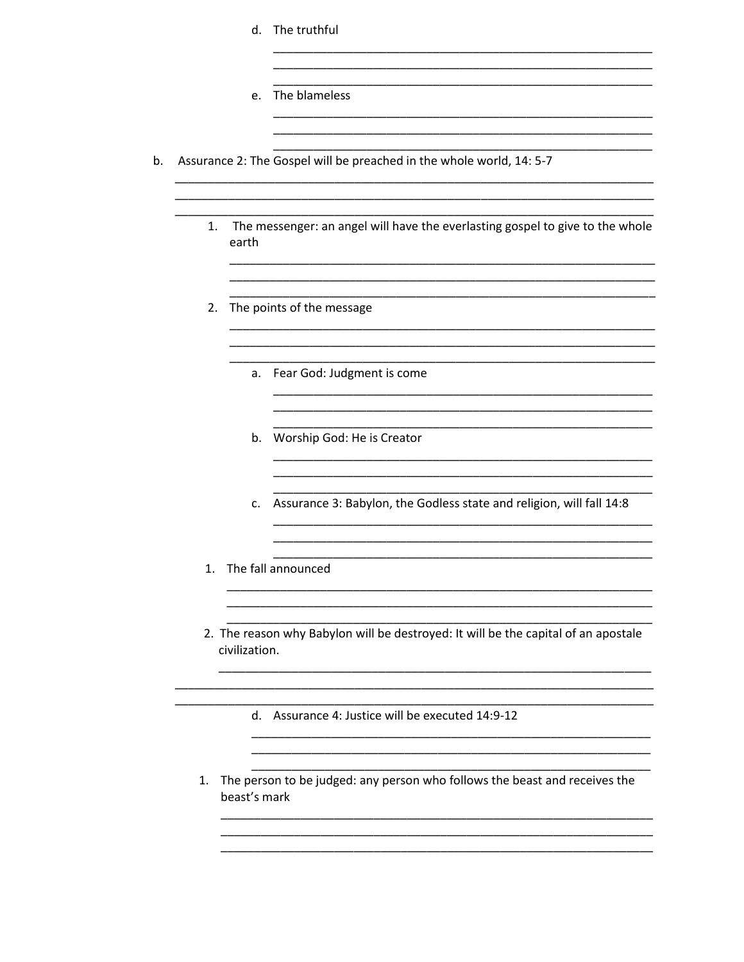|    |               | Assurance 2: The Gospel will be preached in the whole world, 14: 5-7               |
|----|---------------|------------------------------------------------------------------------------------|
| 1. | earth         | The messenger: an angel will have the everlasting gospel to give to the whole      |
|    |               | 2. The points of the message                                                       |
|    | a.            | Fear God: Judgment is come                                                         |
|    |               | b. Worship God: He is Creator                                                      |
|    |               | c. Assurance 3: Babylon, the Godless state and religion, will fall 14:8            |
|    |               | 1. The fall announced                                                              |
|    | civilization. | 2. The reason why Babylon will be destroyed: It will be the capital of an apostale |
|    |               | d. Assurance 4: Justice will be executed 14:9-12                                   |
| 1. |               | The person to be judged: any person who follows the beast and receives the         |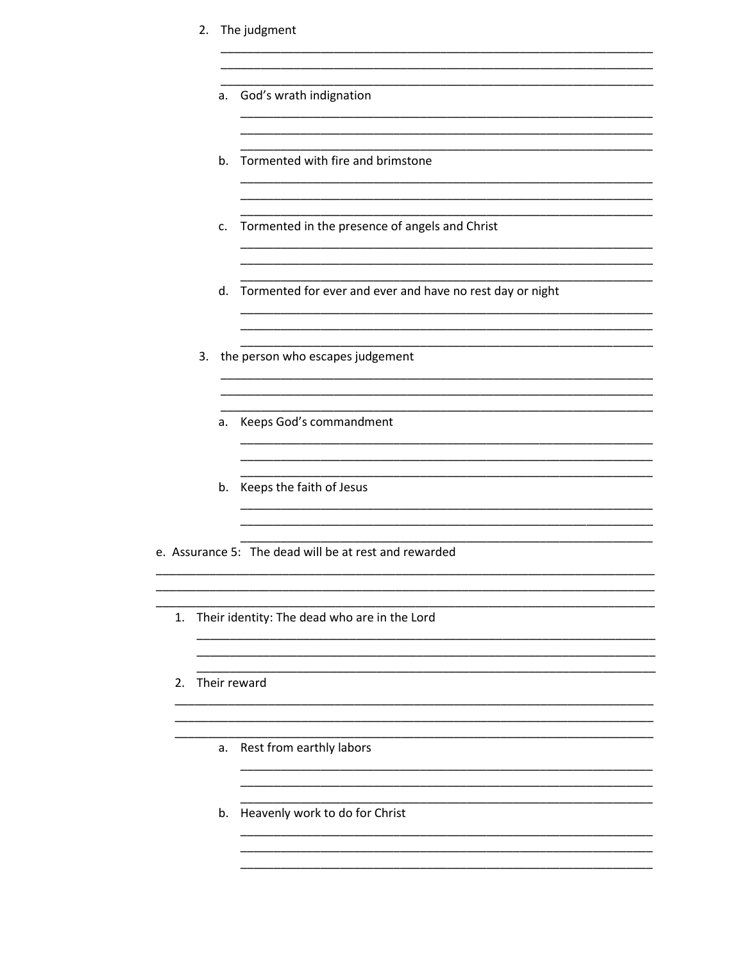- 2. The judgment
	- a. God's wrath indignation
	- b. Tormented with fire and brimstone
	- c. Tormented in the presence of angels and Christ

<u> 2000 - Jan James James James James James James James James James James James James James James James James J</u>

<u> 2000 - Jan James James Jan James James Jan James James James James James James James James James James James</u>

<u> 2000 - Jan James James James James James James James James James James James James James James James James J</u> 

<u> 1980 - Jan James, maria al II-lea (h. 1980).</u>

- d. Tormented for ever and ever and have no rest day or night
- 3. the person who escapes judgement
	- a. Keeps God's commandment
	- b. Keeps the faith of Jesus
- e. Assurance 5: The dead will be at rest and rewarded
	- 1. Their identity: The dead who are in the Lord
	- 2. Their reward
		- a. Rest from earthly labors
		- b. Heavenly work to do for Christ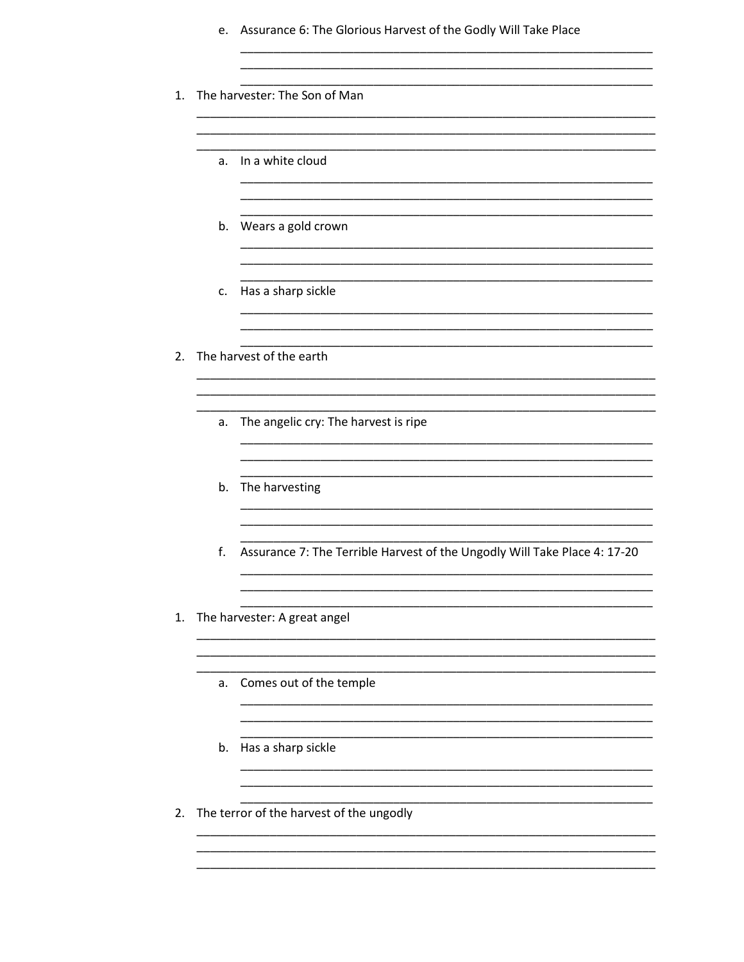|    | e. | Assurance 6: The Glorious Harvest of the Godly Will Take Place            |
|----|----|---------------------------------------------------------------------------|
| 1. |    | The harvester: The Son of Man                                             |
|    | a. | In a white cloud                                                          |
|    |    | b. Wears a gold crown                                                     |
|    | c. | Has a sharp sickle                                                        |
| 2. |    | The harvest of the earth                                                  |
|    | а. | The angelic cry: The harvest is ripe                                      |
|    |    | b. The harvesting                                                         |
|    | f. | Assurance 7: The Terrible Harvest of the Ungodly Will Take Place 4: 17-20 |
| 1. |    | The harvester: A great angel                                              |
|    | a. | Comes out of the temple                                                   |
|    | b. | Has a sharp sickle                                                        |
| 2. |    | The terror of the harvest of the ungodly                                  |